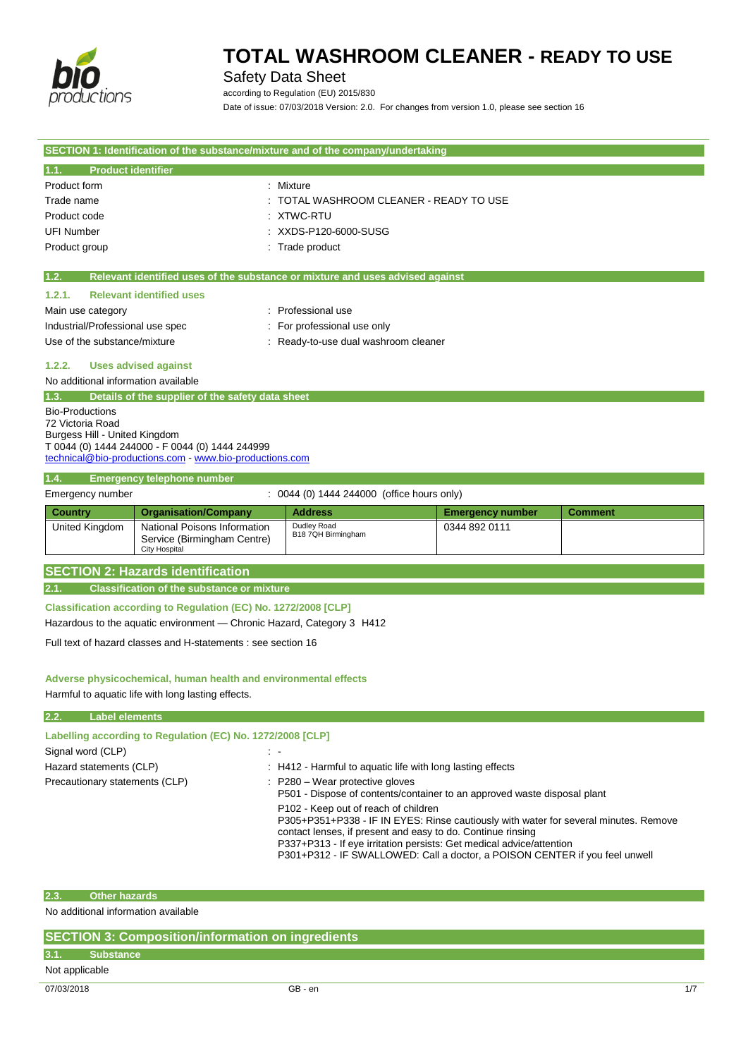

## Safety Data Sheet

according to Regulation (EU) 2015/830 Date of issue: 07/03/2018 Version: 2.0. For changes from version 1.0, please see section 16

| SECTION 1: Identification of the substance/mixture and of the company/undertaking |                                                                                     |                                                                               |                         |                |
|-----------------------------------------------------------------------------------|-------------------------------------------------------------------------------------|-------------------------------------------------------------------------------|-------------------------|----------------|
| <b>Product identifier</b><br>1.1.                                                 |                                                                                     |                                                                               |                         |                |
| Product form                                                                      |                                                                                     | : Mixture                                                                     |                         |                |
| Trade name                                                                        |                                                                                     | TOTAL WASHROOM CLEANER - READY TO USE                                         |                         |                |
| Product code                                                                      |                                                                                     | <b>XTWC-RTU</b>                                                               |                         |                |
| <b>UFI Number</b>                                                                 |                                                                                     | XXDS-P120-6000-SUSG                                                           |                         |                |
| Product group                                                                     |                                                                                     | Trade product                                                                 |                         |                |
| 1.2.                                                                              |                                                                                     | Relevant identified uses of the substance or mixture and uses advised against |                         |                |
| 1.2.1.                                                                            | <b>Relevant identified uses</b>                                                     |                                                                               |                         |                |
| Main use category                                                                 |                                                                                     | : Professional use                                                            |                         |                |
| Industrial/Professional use spec                                                  |                                                                                     | For professional use only                                                     |                         |                |
| Use of the substance/mixture                                                      |                                                                                     | Ready-to-use dual washroom cleaner                                            |                         |                |
| 1.2.2.                                                                            | <b>Uses advised against</b>                                                         |                                                                               |                         |                |
| No additional information available                                               |                                                                                     |                                                                               |                         |                |
| 1.3.                                                                              | Details of the supplier of the safety data sheet                                    |                                                                               |                         |                |
| <b>Bio-Productions</b><br>72 Victoria Road                                        |                                                                                     |                                                                               |                         |                |
| Burgess Hill - United Kingdom                                                     |                                                                                     |                                                                               |                         |                |
|                                                                                   | T 0044 (0) 1444 244000 - F 0044 (0) 1444 244999                                     |                                                                               |                         |                |
|                                                                                   | technical@bio-productions.com www.bio-productions.com                               |                                                                               |                         |                |
| 1.4.                                                                              | <b>Emergency telephone number</b>                                                   |                                                                               |                         |                |
| Emergency number                                                                  |                                                                                     | : 0044 (0) 1444 244000 (office hours only)                                    |                         |                |
| <b>Country</b>                                                                    | <b>Organisation/Company</b>                                                         | <b>Address</b>                                                                | <b>Emergency number</b> | <b>Comment</b> |
| United Kingdom                                                                    | National Poisons Information<br>Service (Birmingham Centre)<br><b>City Hospital</b> | Dudley Road<br>B18 7QH Birmingham                                             | 0344 892 0111           |                |
|                                                                                   | <b>SECTION 2: Hazards identification</b>                                            |                                                                               |                         |                |
| 2.1.                                                                              | <b>Classification of the substance or mixture</b>                                   |                                                                               |                         |                |
|                                                                                   | Classification according to Regulation (EC) No. 1272/2008 [CLP]                     |                                                                               |                         |                |
| Hazardous to the aquatic environment - Chronic Hazard, Category 3 H412            |                                                                                     |                                                                               |                         |                |
| Full text of hazard classes and H-statements : see section 16                     |                                                                                     |                                                                               |                         |                |
|                                                                                   |                                                                                     |                                                                               |                         |                |
|                                                                                   | Adverse physicochemical, human health and environmental effects                     |                                                                               |                         |                |
|                                                                                   | Harmful to aquatic life with long lasting effects.                                  |                                                                               |                         |                |
| 2.2.                                                                              | <b>Label elements</b>                                                               |                                                                               |                         |                |
|                                                                                   | Labelling according to Regulation (EC) No. 1272/2008 [CLP]                          |                                                                               |                         |                |

| Signal word (CLP)              |                                                                                                                                                                                                                                                                                                                                                    |
|--------------------------------|----------------------------------------------------------------------------------------------------------------------------------------------------------------------------------------------------------------------------------------------------------------------------------------------------------------------------------------------------|
| Hazard statements (CLP)        | : H412 - Harmful to aquatic life with long lasting effects                                                                                                                                                                                                                                                                                         |
| Precautionary statements (CLP) | $\therefore$ P280 – Wear protective gloves<br>P501 - Dispose of contents/container to an approved waste disposal plant                                                                                                                                                                                                                             |
|                                | P102 - Keep out of reach of children<br>P305+P351+P338 - IF IN EYES: Rinse cautiously with water for several minutes. Remove<br>contact lenses, if present and easy to do. Continue rinsing<br>P337+P313 - If eye irritation persists: Get medical advice/attention<br>P301+P312 - IF SWALLOWED: Call a doctor, a POISON CENTER if you feel unwell |

### **2.3. Other hazards**

No additional information available

| SECTION 3: Composition/information on ingredients |                  |         |     |
|---------------------------------------------------|------------------|---------|-----|
|                                                   | <b>Substance</b> |         |     |
| Not applicable                                    |                  |         |     |
| 07/03/2018                                        |                  | GB - en | 1/7 |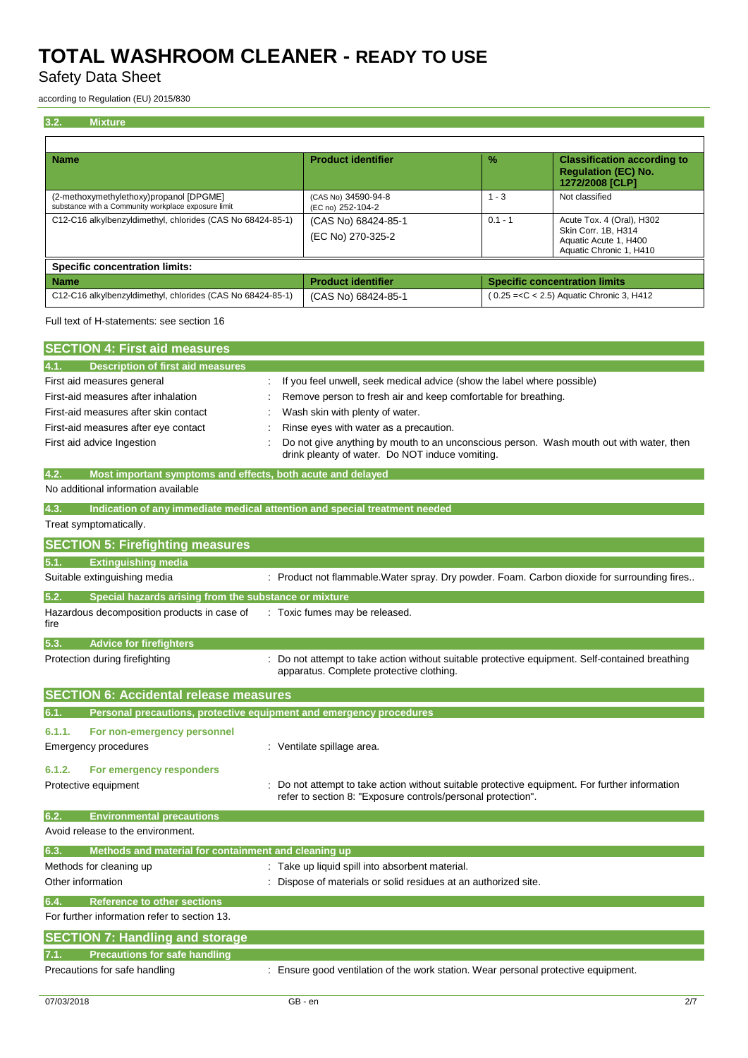## Safety Data Sheet

according to Regulation (EU) 2015/830

| <b>Mixture</b><br>3.2.                                                                         |                                                                                                                                                                |           |                                                                                                      |
|------------------------------------------------------------------------------------------------|----------------------------------------------------------------------------------------------------------------------------------------------------------------|-----------|------------------------------------------------------------------------------------------------------|
|                                                                                                |                                                                                                                                                                |           |                                                                                                      |
| Name                                                                                           | <b>Product identifier</b>                                                                                                                                      | %         | <b>Classification according to</b><br><b>Regulation (EC) No.</b><br>1272/2008 [CLP]                  |
| (2-methoxymethylethoxy)propanol [DPGME]<br>substance with a Community workplace exposure limit | (CAS No) 34590-94-8<br>(EC no) 252-104-2                                                                                                                       | $1 - 3$   | Not classified                                                                                       |
| C12-C16 alkylbenzyldimethyl, chlorides (CAS No 68424-85-1)                                     | (CAS No) 68424-85-1<br>(EC No) 270-325-2                                                                                                                       | $0.1 - 1$ | Acute Tox. 4 (Oral), H302<br>Skin Corr. 1B, H314<br>Aquatic Acute 1, H400<br>Aquatic Chronic 1, H410 |
| <b>Specific concentration limits:</b>                                                          |                                                                                                                                                                |           |                                                                                                      |
| <b>Name</b>                                                                                    | <b>Product identifier</b>                                                                                                                                      |           | <b>Specific concentration limits</b>                                                                 |
| C12-C16 alkylbenzyldimethyl, chlorides (CAS No 68424-85-1)                                     | (CAS No) 68424-85-1                                                                                                                                            |           | $(0.25 = < C < 2.5)$ Aquatic Chronic 3, H412                                                         |
| Full text of H-statements: see section 16                                                      |                                                                                                                                                                |           |                                                                                                      |
| <b>SECTION 4: First aid measures</b>                                                           |                                                                                                                                                                |           |                                                                                                      |
| 4.1.<br><b>Description of first aid measures</b>                                               |                                                                                                                                                                |           |                                                                                                      |
| First aid measures general                                                                     | If you feel unwell, seek medical advice (show the label where possible)                                                                                        |           |                                                                                                      |
| First-aid measures after inhalation                                                            | Remove person to fresh air and keep comfortable for breathing.                                                                                                 |           |                                                                                                      |
| First-aid measures after skin contact                                                          | Wash skin with plenty of water.                                                                                                                                |           |                                                                                                      |
| First-aid measures after eye contact                                                           | Rinse eyes with water as a precaution.                                                                                                                         |           |                                                                                                      |
| First aid advice Ingestion                                                                     | Do not give anything by mouth to an unconscious person. Wash mouth out with water, then<br>drink pleanty of water. Do NOT induce vomiting.                     |           |                                                                                                      |
| 4.2.<br>Most important symptoms and effects, both acute and delayed                            |                                                                                                                                                                |           |                                                                                                      |
| No additional information available                                                            |                                                                                                                                                                |           |                                                                                                      |
| 4.3.<br>Indication of any immediate medical attention and special treatment needed             |                                                                                                                                                                |           |                                                                                                      |
| Treat symptomatically.                                                                         |                                                                                                                                                                |           |                                                                                                      |
| <b>SECTION 5: Firefighting measures</b>                                                        |                                                                                                                                                                |           |                                                                                                      |
| 5.1.<br><b>Extinguishing media</b>                                                             |                                                                                                                                                                |           |                                                                                                      |
| Suitable extinguishing media                                                                   | : Product not flammable. Water spray. Dry powder. Foam. Carbon dioxide for surrounding fires                                                                   |           |                                                                                                      |
| Special hazards arising from the substance or mixture<br>5.2.                                  |                                                                                                                                                                |           |                                                                                                      |
| Hazardous decomposition products in case of<br>fire                                            | : Toxic fumes may be released.                                                                                                                                 |           |                                                                                                      |
| 5.3.<br><b>Advice for firefighters</b>                                                         |                                                                                                                                                                |           |                                                                                                      |
| Protection during firefighting                                                                 | : Do not attempt to take action without suitable protective equipment. Self-contained breathing<br>apparatus. Complete protective clothing.                    |           |                                                                                                      |
| <b>SECTION 6: Accidental release measures</b>                                                  |                                                                                                                                                                |           |                                                                                                      |
| Personal precautions, protective equipment and emergency procedures<br>6.1.                    |                                                                                                                                                                |           |                                                                                                      |
|                                                                                                |                                                                                                                                                                |           |                                                                                                      |
| 6.1.1.<br>For non-emergency personnel                                                          |                                                                                                                                                                |           |                                                                                                      |
| <b>Emergency procedures</b>                                                                    | : Ventilate spillage area.                                                                                                                                     |           |                                                                                                      |
| 6.1.2.<br>For emergency responders                                                             |                                                                                                                                                                |           |                                                                                                      |
| Protective equipment                                                                           | : Do not attempt to take action without suitable protective equipment. For further information<br>refer to section 8: "Exposure controls/personal protection". |           |                                                                                                      |
| <b>Environmental precautions</b><br>6.2.                                                       |                                                                                                                                                                |           |                                                                                                      |
| Avoid release to the environment.                                                              |                                                                                                                                                                |           |                                                                                                      |
| Methods and material for containment and cleaning up<br>6.3.                                   |                                                                                                                                                                |           |                                                                                                      |
| Methods for cleaning up                                                                        | : Take up liquid spill into absorbent material.                                                                                                                |           |                                                                                                      |
| Other information                                                                              | Dispose of materials or solid residues at an authorized site.                                                                                                  |           |                                                                                                      |
| <b>Reference to other sections</b><br>6.4.                                                     |                                                                                                                                                                |           |                                                                                                      |
| For further information refer to section 13.                                                   |                                                                                                                                                                |           |                                                                                                      |
| <b>SECTION 7: Handling and storage</b>                                                         |                                                                                                                                                                |           |                                                                                                      |
| <b>Precautions for safe handling</b>                                                           |                                                                                                                                                                |           |                                                                                                      |
| Precautions for safe handling                                                                  | : Ensure good ventilation of the work station. Wear personal protective equipment.                                                                             |           |                                                                                                      |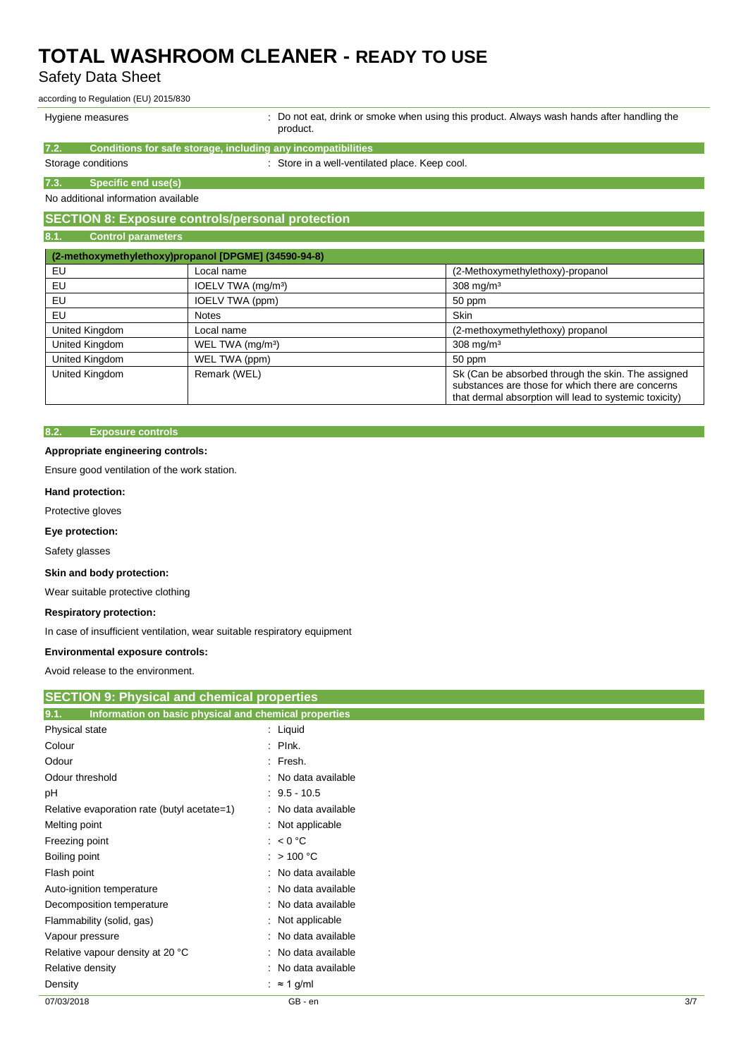## Safety Data Sheet

according to Regulation (EU) 2015/830

Hygiene measures **included in the state of the Constantiana** : Do not eat, drink or smoke when using this product. Always wash hands after handling the product

> substances are those for which there are concerns that dermal absorption will lead to systemic toxicity)

|                                     | piuuut.                                                      |                                                    |
|-------------------------------------|--------------------------------------------------------------|----------------------------------------------------|
| 7.2.                                | Conditions for safe storage, including any incompatibilities |                                                    |
| Storage conditions                  |                                                              | : Store in a well-ventilated place. Keep cool.     |
| 7.3.<br>Specific end use(s)         |                                                              |                                                    |
| No additional information available |                                                              |                                                    |
|                                     | <b>SECTION 8: Exposure controls/personal protection</b>      |                                                    |
| 8.1.<br><b>Control parameters</b>   |                                                              |                                                    |
|                                     | (2-methoxymethylethoxy)propanol [DPGME] (34590-94-8)         |                                                    |
| EU                                  | Local name                                                   | (2-Methoxymethylethoxy)-propanol                   |
| EU                                  | IOELV TWA (mg/m <sup>3</sup> )                               | $308$ mg/m <sup>3</sup>                            |
| EU                                  | IOELV TWA (ppm)                                              | 50 ppm                                             |
| EU                                  | <b>Notes</b>                                                 | <b>Skin</b>                                        |
| United Kingdom                      | Local name                                                   | (2-methoxymethylethoxy) propanol                   |
| United Kingdom                      | WEL TWA (mg/m <sup>3</sup> )                                 | $308 \text{ mg/m}^3$                               |
| United Kingdom                      | WEL TWA (ppm)                                                | 50 ppm                                             |
| United Kingdom                      | Remark (WEL)                                                 | Sk (Can be absorbed through the skin. The assigned |

### **8.2. Exposure controls**

### **Appropriate engineering controls:**

Ensure good ventilation of the work station.

### **Hand protection:**

Protective gloves

#### **Eye protection:**

Safety glasses

#### **Skin and body protection:**

Wear suitable protective clothing

### **Respiratory protection:**

In case of insufficient ventilation, wear suitable respiratory equipment

#### **Environmental exposure controls:**

Avoid release to the environment.

| <b>SECTION 9: Physical and chemical properties</b>            |                     |     |
|---------------------------------------------------------------|---------------------|-----|
| 9.1.<br>Information on basic physical and chemical properties |                     |     |
| Physical state                                                | : Liquid            |     |
| Colour                                                        | $:$ Plnk.           |     |
| Odour                                                         | : Fresh.            |     |
| Odour threshold                                               | : No data available |     |
| рH                                                            | $: 9.5 - 10.5$      |     |
| Relative evaporation rate (butyl acetate=1)                   | : No data available |     |
| Melting point                                                 | : Not applicable    |     |
| Freezing point                                                | : $< 0 °C$          |     |
| Boiling point                                                 | : $> 100 °C$        |     |
| Flash point                                                   | : No data available |     |
| Auto-ignition temperature                                     | : No data available |     |
| Decomposition temperature                                     | : No data available |     |
| Flammability (solid, gas)                                     | : Not applicable    |     |
| Vapour pressure                                               | : No data available |     |
| Relative vapour density at 20 °C                              | : No data available |     |
| Relative density                                              | : No data available |     |
| Density                                                       | : $\approx$ 1 g/ml  |     |
| 07/03/2018                                                    | GB - en             | 3/7 |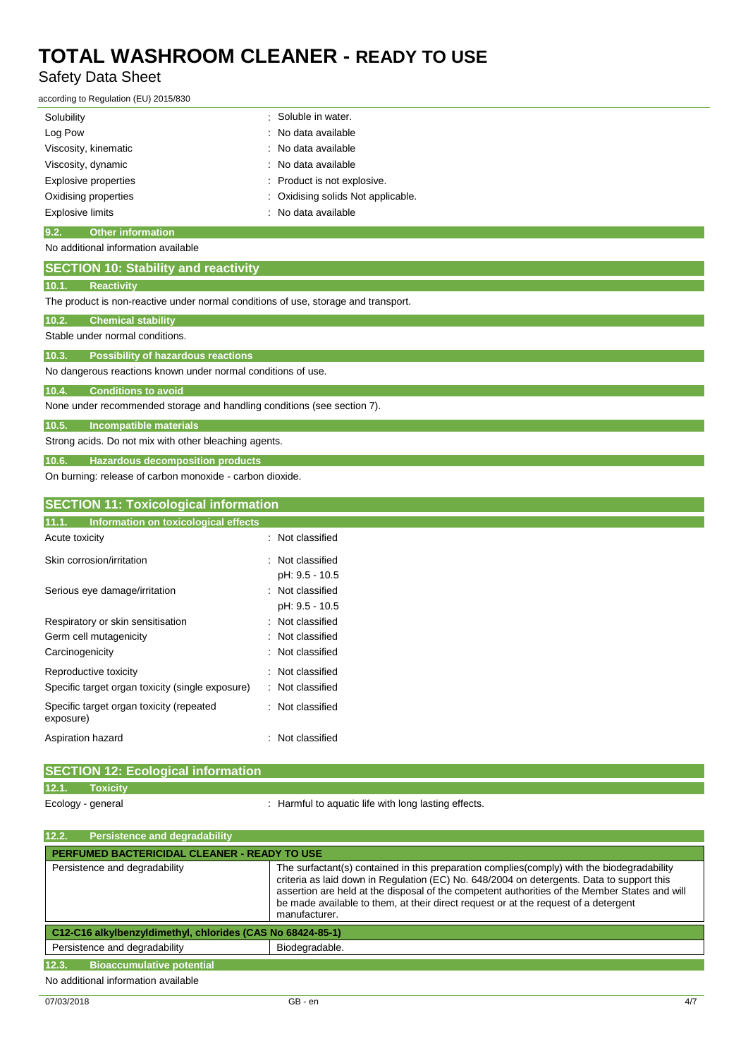## Safety Data Sheet

according to Regulation (EU) 2015/830

| Solubility                       | : Soluble in water.                |
|----------------------------------|------------------------------------|
| Log Pow                          | : No data available                |
| Viscosity, kinematic             | : No data available                |
| Viscosity, dynamic               | : No data available                |
| <b>Explosive properties</b>      | : Product is not explosive.        |
| Oxidising properties             | : Oxidising solids Not applicable. |
| <b>Explosive limits</b>          | : No data available                |
| 9.2.<br><b>Other information</b> |                                    |

No additional information available

|  | <b>SECTION 10: Stability and reactivity</b> |  |
|--|---------------------------------------------|--|
|  |                                             |  |

### **10.1. Reactivity**

The product is non-reactive under normal conditions of use, storage and transport.

| 10.2. | <b>Chemical stability</b> |  |
|-------|---------------------------|--|
|       |                           |  |

Stable under normal conditions.

**10.3. Possibility of hazardous reactions**

No dangerous reactions known under normal conditions of use.

## **10.4. Conditions to avoid**

None under recommended storage and handling conditions (see section 7).

#### **10.5. Incompatible materials**

Strong acids. Do not mix with other bleaching agents.

### **10.6. Hazardous decomposition products**

On burning: release of carbon monoxide - carbon dioxide.

### **SECTION 11: Toxicological information**

| Information on toxicological effects<br>11.1.         |                  |
|-------------------------------------------------------|------------------|
| Acute toxicity                                        | Not classified   |
| Skin corrosion/irritation                             | : Not classified |
|                                                       | pH: 9.5 - 10.5   |
| Serious eye damage/irritation                         | : Not classified |
|                                                       | pH: 9.5 - 10.5   |
| Respiratory or skin sensitisation                     | Not classified   |
| Germ cell mutagenicity                                | Not classified   |
| Carcinogenicity                                       | Not classified   |
| Reproductive toxicity                                 | Not classified   |
| Specific target organ toxicity (single exposure)      | Not classified   |
| Specific target organ toxicity (repeated<br>exposure) | Not classified   |
| Aspiration hazard                                     | Not classified   |

| <b>SECTION 12: Ecological information</b> |                                                      |
|-------------------------------------------|------------------------------------------------------|
| 12.1.<br>Toxicity                         |                                                      |
| Ecology - general                         | : Harmful to aquatic life with long lasting effects. |

| .<br><b>I</b> craigence and degradability                  |                                                                                                                                                                                                                                                                                                                                                                                                   |  |  |
|------------------------------------------------------------|---------------------------------------------------------------------------------------------------------------------------------------------------------------------------------------------------------------------------------------------------------------------------------------------------------------------------------------------------------------------------------------------------|--|--|
| <b>PERFUMED BACTERICIDAL CLEANER - READY TO USE</b>        |                                                                                                                                                                                                                                                                                                                                                                                                   |  |  |
| Persistence and degradability                              | The surfactant(s) contained in this preparation complies (comply) with the biodegradability<br>criteria as laid down in Regulation (EC) No. 648/2004 on detergents. Data to support this<br>assertion are held at the disposal of the competent authorities of the Member States and will<br>be made available to them, at their direct request or at the request of a detergent<br>manufacturer. |  |  |
| C12-C16 alkylbenzyldimethyl, chlorides (CAS No 68424-85-1) |                                                                                                                                                                                                                                                                                                                                                                                                   |  |  |
| Persistence and degradability<br>Biodegradable.            |                                                                                                                                                                                                                                                                                                                                                                                                   |  |  |
| 12.3.<br><b>Bioaccumulative potential</b>                  |                                                                                                                                                                                                                                                                                                                                                                                                   |  |  |
| No additional information available                        |                                                                                                                                                                                                                                                                                                                                                                                                   |  |  |

**12.2. Persistence and degradability**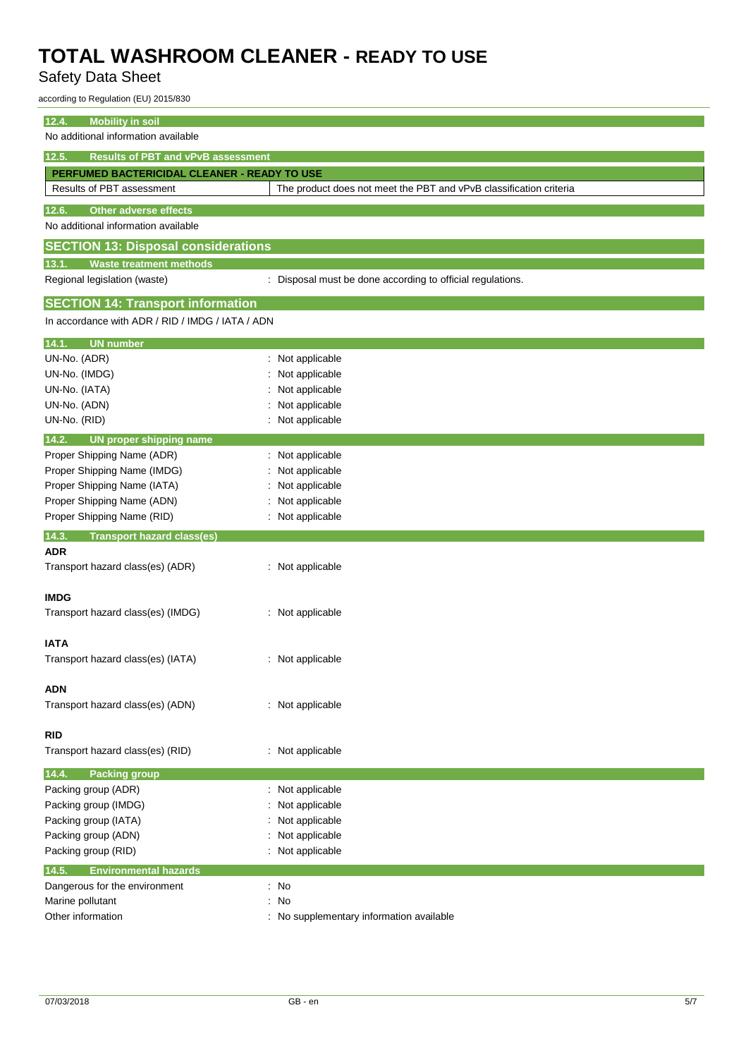## Safety Data Sheet

according to Regulation (EU) 2015/830

| 12.4.<br><b>Mobility in soil</b>                   |                                                                    |  |
|----------------------------------------------------|--------------------------------------------------------------------|--|
| No additional information available                |                                                                    |  |
| 12.5.<br><b>Results of PBT and vPvB assessment</b> |                                                                    |  |
| PERFUMED BACTERICIDAL CLEANER - READY TO USE       |                                                                    |  |
| Results of PBT assessment                          | The product does not meet the PBT and vPvB classification criteria |  |
| 12.6.<br><b>Other adverse effects</b>              |                                                                    |  |
| No additional information available                |                                                                    |  |
| <b>SECTION 13: Disposal considerations</b>         |                                                                    |  |
| <b>Waste treatment methods</b><br>13.1.            |                                                                    |  |
| Regional legislation (waste)                       | : Disposal must be done according to official regulations.         |  |
| <b>SECTION 14: Transport information</b>           |                                                                    |  |
| In accordance with ADR / RID / IMDG / IATA / ADN   |                                                                    |  |
| <b>UN number</b><br>14.1.                          |                                                                    |  |
| UN-No. (ADR)                                       | Not applicable                                                     |  |
| UN-No. (IMDG)                                      | Not applicable                                                     |  |
| UN-No. (IATA)                                      | Not applicable                                                     |  |
| UN-No. (ADN)                                       | Not applicable                                                     |  |
| UN-No. (RID)                                       | : Not applicable                                                   |  |
| 14.2.<br>UN proper shipping name                   |                                                                    |  |
| Proper Shipping Name (ADR)                         | : Not applicable                                                   |  |
| Proper Shipping Name (IMDG)                        | Not applicable                                                     |  |
| Proper Shipping Name (IATA)                        | Not applicable                                                     |  |
| Proper Shipping Name (ADN)                         | Not applicable                                                     |  |
| Proper Shipping Name (RID)                         | Not applicable                                                     |  |
|                                                    |                                                                    |  |
| 14.3.<br><b>Transport hazard class(es)</b>         |                                                                    |  |
| <b>ADR</b>                                         |                                                                    |  |
| Transport hazard class(es) (ADR)                   | : Not applicable                                                   |  |
|                                                    |                                                                    |  |
| <b>IMDG</b>                                        |                                                                    |  |
| Transport hazard class(es) (IMDG)                  | : Not applicable                                                   |  |
| <b>IATA</b>                                        |                                                                    |  |
| Transport hazard class(es) (IATA)                  | : Not applicable                                                   |  |
|                                                    |                                                                    |  |
| <b>ADN</b>                                         |                                                                    |  |
| Transport hazard class(es) (ADN)                   | : Not applicable                                                   |  |
| <b>RID</b>                                         |                                                                    |  |
| Transport hazard class(es) (RID)                   | : Not applicable                                                   |  |
| 14.4.<br><b>Packing group</b>                      |                                                                    |  |
| Packing group (ADR)                                | : Not applicable                                                   |  |
| Packing group (IMDG)                               | Not applicable                                                     |  |
| Packing group (IATA)                               | Not applicable                                                     |  |
| Packing group (ADN)                                | Not applicable                                                     |  |
| Packing group (RID)                                | : Not applicable                                                   |  |
| 14.5.<br><b>Environmental hazards</b>              |                                                                    |  |
| Dangerous for the environment                      | $\therefore$ No                                                    |  |
| Marine pollutant                                   | : No                                                               |  |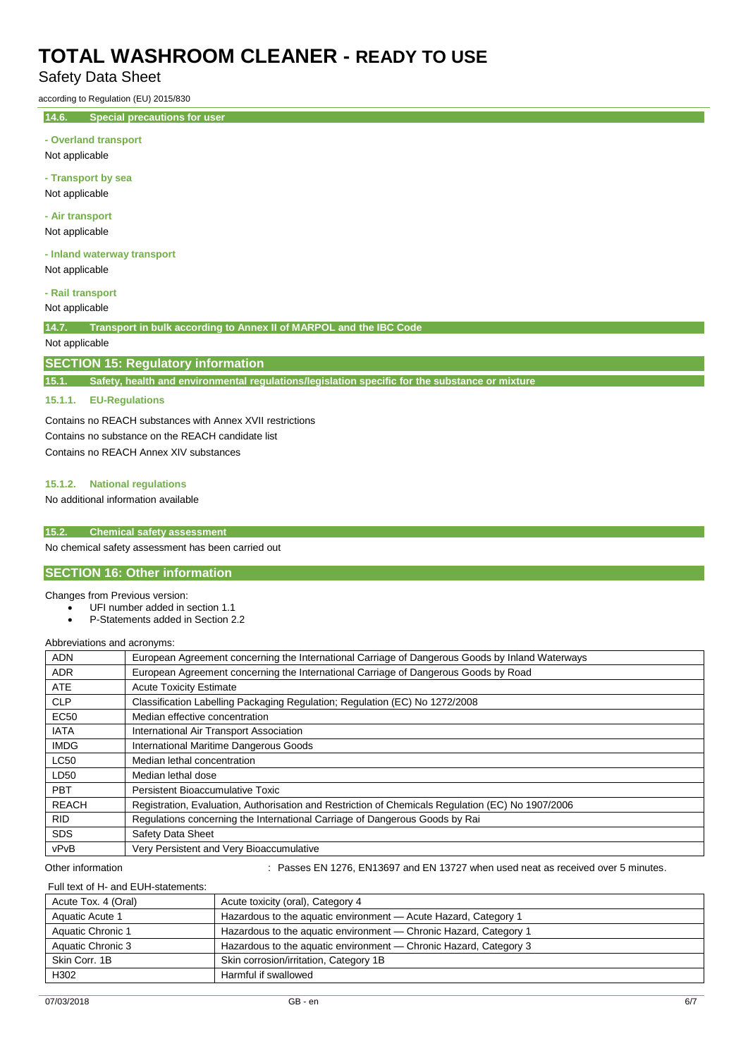## Safety Data Sheet

according to Regulation (EU) 2015/830

**14.6. Special precautions for user**

### **- Overland transport**

Not applicable

**- Transport by sea** Not applicable

**- Air transport**

Not applicable

**- Inland waterway transport** Not applicable

### **- Rail transport**

Not applicable

**14.7. Transport in bulk according to Annex II of MARPOL and the IBC Code**

## Not applicable

### **SECTION 15: Regulatory information**

**15.1. Safety, health and environmental regulations/legislation specific for the substance or mixture**

### **15.1.1. EU-Regulations**

Contains no REACH substances with Annex XVII restrictions Contains no substance on the REACH candidate list Contains no REACH Annex XIV substances

### **15.1.2. National regulations**

No additional information available

### **15.2. Chemical safety assessment**

No chemical safety assessment has been carried out

## **SECTION 16: Other information**

#### Changes from Previous version:

- UFI number added in section 1.1
- P-Statements added in Section 2.2

#### Abbreviations and acronyms:

| <b>ADN</b>   | European Agreement concerning the International Carriage of Dangerous Goods by Inland Waterways   |
|--------------|---------------------------------------------------------------------------------------------------|
| <b>ADR</b>   | European Agreement concerning the International Carriage of Dangerous Goods by Road               |
| <b>ATE</b>   | <b>Acute Toxicity Estimate</b>                                                                    |
| <b>CLP</b>   | Classification Labelling Packaging Regulation; Regulation (EC) No 1272/2008                       |
| <b>EC50</b>  | Median effective concentration                                                                    |
| <b>IATA</b>  | International Air Transport Association                                                           |
| <b>IMDG</b>  | International Maritime Dangerous Goods                                                            |
| <b>LC50</b>  | Median lethal concentration                                                                       |
| LD50         | Median lethal dose                                                                                |
| <b>PBT</b>   | Persistent Bioaccumulative Toxic                                                                  |
| <b>REACH</b> | Registration, Evaluation, Authorisation and Restriction of Chemicals Regulation (EC) No 1907/2006 |
| <b>RID</b>   | Regulations concerning the International Carriage of Dangerous Goods by Rai                       |
| <b>SDS</b>   | Safety Data Sheet                                                                                 |
| vPvB         | Very Persistent and Very Bioaccumulative                                                          |

Other information **State 120 and EN 1276, EN13697** and EN 13727 when used neat as received over 5 minutes.

### Full text of H- and EUH-statements:

| Acute Tox. 4 (Oral) | Acute toxicity (oral), Category 4                                 |
|---------------------|-------------------------------------------------------------------|
| Aquatic Acute 1     | Hazardous to the aquatic environment - Acute Hazard, Category 1   |
| Aquatic Chronic 1   | Hazardous to the aquatic environment - Chronic Hazard, Category 1 |
| Aquatic Chronic 3   | Hazardous to the aquatic environment - Chronic Hazard, Category 3 |
| Skin Corr, 1B       | Skin corrosion/irritation, Category 1B                            |
| H302                | Harmful if swallowed                                              |